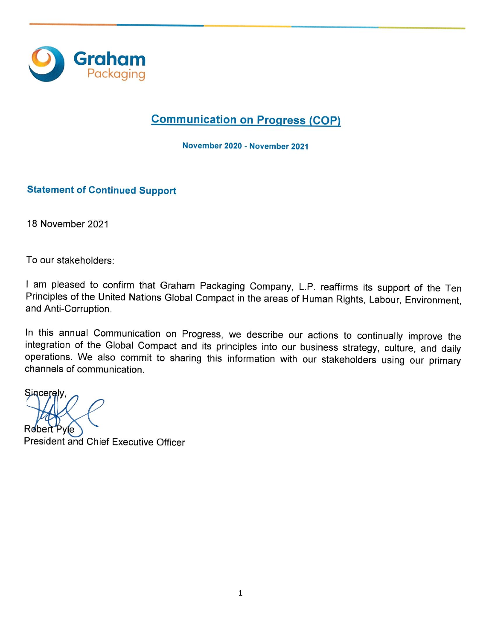

# **Communication on Progress (COP)**

November 2020 - November 2021

## **Statement of Continued Support**

18 November 2021

To our stakeholders:

I am pleased to confirm that Graham Packaging Company, L.P. reaffirms its support of the Ten Principles of the United Nations Global Compact in the areas of Human Rights, Labour, Environment, and Anti-Corruption.

In this annual Communication on Progress, we describe our actions to continually improve the integration of the Global Compact and its principles into our business strategy, culture, and daily operations. We also commit to sharing this information with our stakeholders using our primary channels of communication.

Sinceralv. President and Chief Executive Officer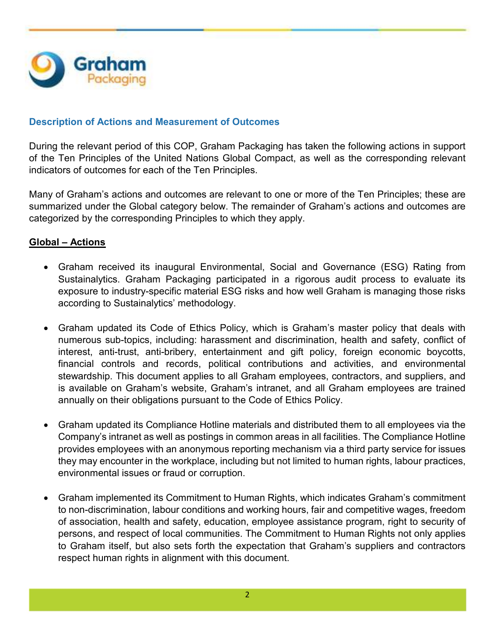

## **Description of Actions and Measurement of Outcomes**

During the relevant period of this COP, Graham Packaging has taken the following actions in support of the Ten Principles of the United Nations Global Compact, as well as the corresponding relevant indicators of outcomes for each of the Ten Principles.

Many of Graham's actions and outcomes are relevant to one or more of the Ten Principles; these are summarized under the Global category below. The remainder of Graham's actions and outcomes are categorized by the corresponding Principles to which they apply.

## **Global – Actions**

- Graham received its inaugural Environmental, Social and Governance (ESG) Rating from Sustainalytics. Graham Packaging participated in a rigorous audit process to evaluate its exposure to industry-specific material ESG risks and how well Graham is managing those risks according to Sustainalytics' methodology.
- Graham updated its Code of Ethics Policy, which is Graham's master policy that deals with numerous sub-topics, including: harassment and discrimination, health and safety, conflict of interest, anti-trust, anti-bribery, entertainment and gift policy, foreign economic boycotts, financial controls and records, political contributions and activities, and environmental stewardship. This document applies to all Graham employees, contractors, and suppliers, and is available on Graham's website, Graham's intranet, and all Graham employees are trained annually on their obligations pursuant to the Code of Ethics Policy.
- Graham updated its Compliance Hotline materials and distributed them to all employees via the Company's intranet as well as postings in common areas in all facilities. The Compliance Hotline provides employees with an anonymous reporting mechanism via a third party service for issues they may encounter in the workplace, including but not limited to human rights, labour practices, environmental issues or fraud or corruption.
- Graham implemented its Commitment to Human Rights, which indicates Graham's commitment to non-discrimination, labour conditions and working hours, fair and competitive wages, freedom of association, health and safety, education, employee assistance program, right to security of persons, and respect of local communities. The Commitment to Human Rights not only applies to Graham itself, but also sets forth the expectation that Graham's suppliers and contractors respect human rights in alignment with this document.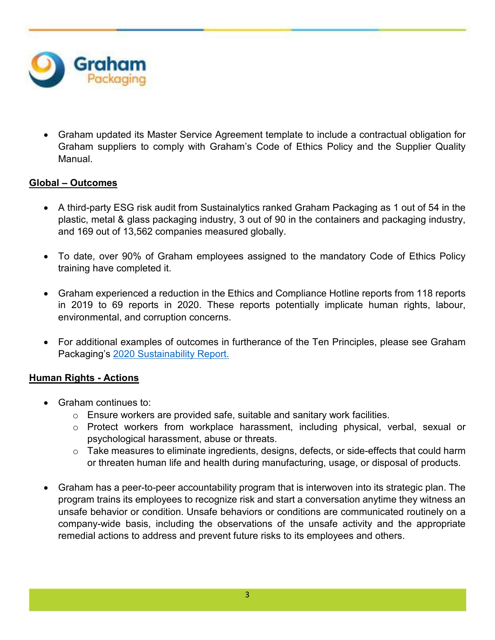

 Graham updated its Master Service Agreement template to include a contractual obligation for Graham suppliers to comply with Graham's Code of Ethics Policy and the Supplier Quality Manual.

# **Global – Outcomes**

- A third-party ESG risk audit from Sustainalytics ranked Graham Packaging as 1 out of 54 in the plastic, metal & glass packaging industry, 3 out of 90 in the containers and packaging industry, and 169 out of 13,562 companies measured globally.
- To date, over 90% of Graham employees assigned to the mandatory Code of Ethics Policy training have completed it.
- Graham experienced a reduction in the Ethics and Compliance Hotline reports from 118 reports in 2019 to 69 reports in 2020. These reports potentially implicate human rights, labour, environmental, and corruption concerns.
- For additional examples of outcomes in furtherance of the Ten Principles, please see Graham Packaging's 2020 Sustainability Report.

# **Human Rights - Actions**

- Graham continues to:
	- $\circ$  Ensure workers are provided safe, suitable and sanitary work facilities.
	- o Protect workers from workplace harassment, including physical, verbal, sexual or psychological harassment, abuse or threats.
	- o Take measures to eliminate ingredients, designs, defects, or side-effects that could harm or threaten human life and health during manufacturing, usage, or disposal of products.
- Graham has a peer-to-peer accountability program that is interwoven into its strategic plan. The program trains its employees to recognize risk and start a conversation anytime they witness an unsafe behavior or condition. Unsafe behaviors or conditions are communicated routinely on a company-wide basis, including the observations of the unsafe activity and the appropriate remedial actions to address and prevent future risks to its employees and others.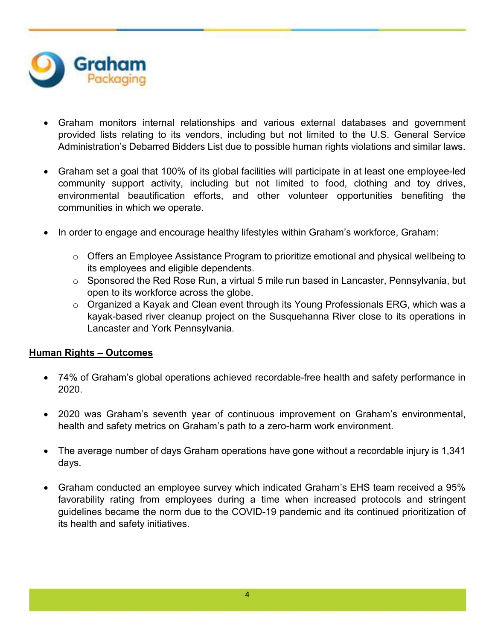

- Graham monitors internal relationships and various external databases and government provided lists relating to its vendors, including but not limited to the U.S. General Service Administration's Debarred Bidders List due to possible human rights violations and similar laws.
- Graham set a goal that 100% of its global facilities will participate in at least one employee-led community support activity, including but not limited to food, clothing and toy drives, environmental beautification efforts, and other volunteer opportunities benefiting the communities in which we operate.
- In order to engage and encourage healthy lifestyles within Graham's workforce, Graham:
	- o Offers an Employee Assistance Program to prioritize emotional and physical wellbeing to its employees and eligible dependents.
	- o Sponsored the Red Rose Run, a virtual 5 mile run based in Lancaster, Pennsylvania, but open to its workforce across the globe.
	- o Organized a Kayak and Clean event through its Young Professionals ERG, which was a kayak-based river cleanup project on the Susquehanna River close to its operations in Lancaster and York Pennsylvania.

#### **Human Rights – Outcomes**

- 74% of Graham's global operations achieved recordable-free health and safety performance in 2020.
- 2020 was Graham's seventh year of continuous improvement on Graham's environmental, health and safety metrics on Graham's path to a zero-harm work environment.
- The average number of days Graham operations have gone without a recordable injury is 1,341 days.
- Graham conducted an employee survey which indicated Graham's EHS team received a 95% favorability rating from employees during a time when increased protocols and stringent guidelines became the norm due to the COVID-19 pandemic and its continued prioritization of its health and safety initiatives.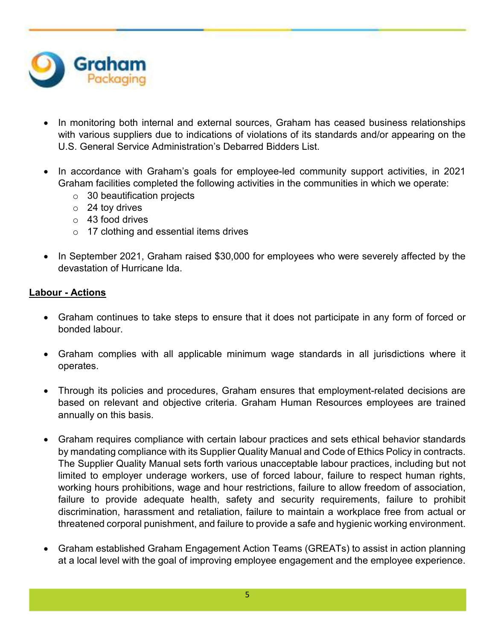

- In monitoring both internal and external sources, Graham has ceased business relationships with various suppliers due to indications of violations of its standards and/or appearing on the U.S. General Service Administration's Debarred Bidders List.
- In accordance with Graham's goals for employee-led community support activities, in 2021 Graham facilities completed the following activities in the communities in which we operate:
	- $\circ$  30 beautification projects
	- o 24 toy drives
	- $\circ$  43 food drives
	- o 17 clothing and essential items drives
- In September 2021, Graham raised \$30,000 for employees who were severely affected by the devastation of Hurricane Ida.

## **Labour - Actions**

- Graham continues to take steps to ensure that it does not participate in any form of forced or bonded labour.
- Graham complies with all applicable minimum wage standards in all jurisdictions where it operates.
- Through its policies and procedures, Graham ensures that employment-related decisions are based on relevant and objective criteria. Graham Human Resources employees are trained annually on this basis.
- Graham requires compliance with certain labour practices and sets ethical behavior standards by mandating compliance with its Supplier Quality Manual and Code of Ethics Policy in contracts. The Supplier Quality Manual sets forth various unacceptable labour practices, including but not limited to employer underage workers, use of forced labour, failure to respect human rights, working hours prohibitions, wage and hour restrictions, failure to allow freedom of association, failure to provide adequate health, safety and security requirements, failure to prohibit discrimination, harassment and retaliation, failure to maintain a workplace free from actual or threatened corporal punishment, and failure to provide a safe and hygienic working environment.
- Graham established Graham Engagement Action Teams (GREATs) to assist in action planning at a local level with the goal of improving employee engagement and the employee experience.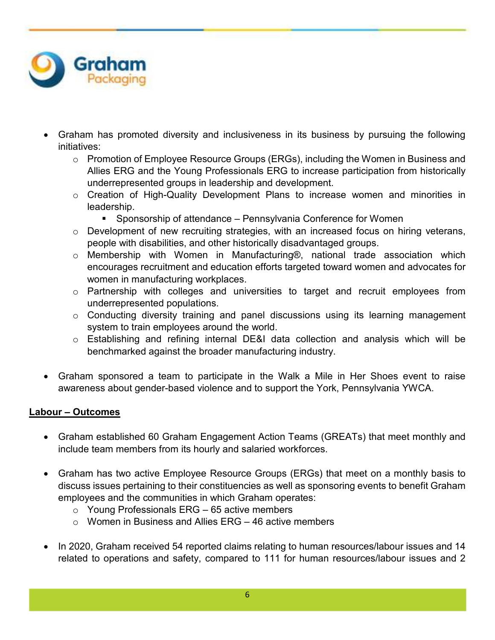

- Graham has promoted diversity and inclusiveness in its business by pursuing the following initiatives:
	- o Promotion of Employee Resource Groups (ERGs), including the Women in Business and Allies ERG and the Young Professionals ERG to increase participation from historically underrepresented groups in leadership and development.
	- o Creation of High-Quality Development Plans to increase women and minorities in leadership.
		- Sponsorship of attendance Pennsylvania Conference for Women
	- o Development of new recruiting strategies, with an increased focus on hiring veterans, people with disabilities, and other historically disadvantaged groups.
	- o Membership with Women in Manufacturing®, national trade association which encourages recruitment and education efforts targeted toward women and advocates for women in manufacturing workplaces.
	- o Partnership with colleges and universities to target and recruit employees from underrepresented populations.
	- o Conducting diversity training and panel discussions using its learning management system to train employees around the world.
	- o Establishing and refining internal DE&I data collection and analysis which will be benchmarked against the broader manufacturing industry.
- Graham sponsored a team to participate in the Walk a Mile in Her Shoes event to raise awareness about gender-based violence and to support the York, Pennsylvania YWCA.

# **Labour – Outcomes**

- Graham established 60 Graham Engagement Action Teams (GREATs) that meet monthly and include team members from its hourly and salaried workforces.
- Graham has two active Employee Resource Groups (ERGs) that meet on a monthly basis to discuss issues pertaining to their constituencies as well as sponsoring events to benefit Graham employees and the communities in which Graham operates:
	- $\circ$  Young Professionals ERG 65 active members
	- $\circ$  Women in Business and Allies FRG 46 active members
- In 2020, Graham received 54 reported claims relating to human resources/labour issues and 14 related to operations and safety, compared to 111 for human resources/labour issues and 2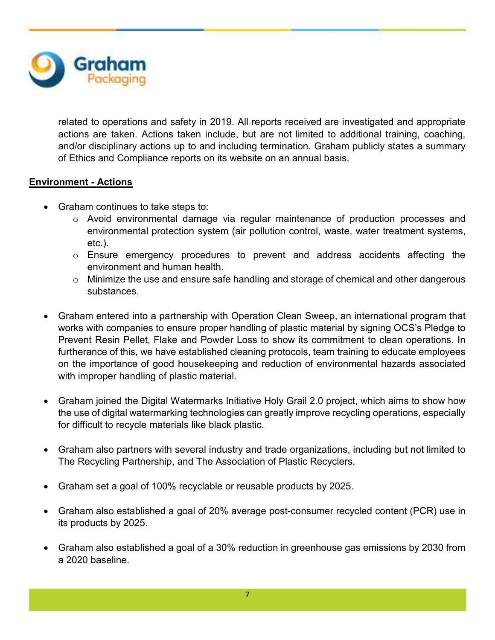

related to operations and safety in 2019. All reports received are investigated and appropriate actions are taken. Actions taken include, but are not limited to additional training, coaching, and/or disciplinary actions up to and including termination. Graham publicly states a summary of Ethics and Compliance reports on its website on an annual basis.

## **Environment - Actions**

- Graham continues to take steps to:
	- $\circ$  Avoid environmental damage via regular maintenance of production processes and environmental protection system (air pollution control, waste, water treatment systems, etc.).
	- o Ensure emergency procedures to prevent and address accidents affecting the environment and human health.
	- o Minimize the use and ensure safe handling and storage of chemical and other dangerous substances.
- Graham entered into a partnership with Operation Clean Sweep, an international program that works with companies to ensure proper handling of plastic material by signing OCS's Pledge to Prevent Resin Pellet, Flake and Powder Loss to show its commitment to clean operations. In furtherance of this, we have established cleaning protocols, team training to educate employees on the importance of good housekeeping and reduction of environmental hazards associated with improper handling of plastic material.
- Graham joined the Digital Watermarks Initiative Holy Grail 2.0 project, which aims to show how the use of digital watermarking technologies can greatly improve recycling operations, especially for difficult to recycle materials like black plastic.
- Graham also partners with several industry and trade organizations, including but not limited to The Recycling Partnership, and The Association of Plastic Recyclers.
- Graham set a goal of 100% recyclable or reusable products by 2025.
- Graham also established a goal of 20% average post-consumer recycled content (PCR) use in its products by 2025.
- Graham also established a goal of a 30% reduction in greenhouse gas emissions by 2030 from a 2020 baseline.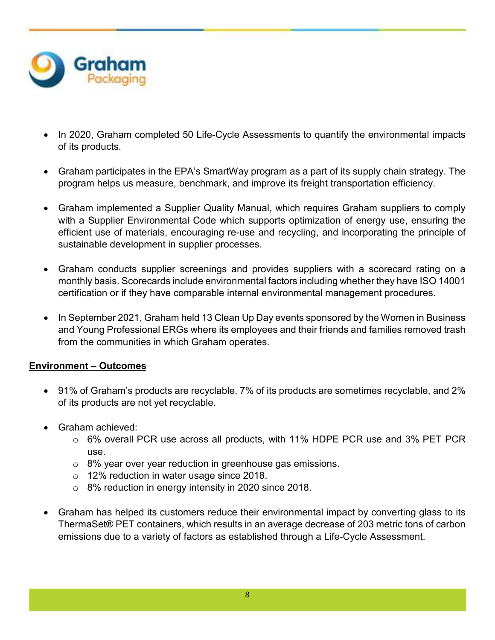

- In 2020, Graham completed 50 Life-Cycle Assessments to quantify the environmental impacts of its products.
- Graham participates in the EPA's SmartWay program as a part of its supply chain strategy. The program helps us measure, benchmark, and improve its freight transportation efficiency.
- Graham implemented a Supplier Quality Manual, which requires Graham suppliers to comply with a Supplier Environmental Code which supports optimization of energy use, ensuring the efficient use of materials, encouraging re-use and recycling, and incorporating the principle of sustainable development in supplier processes.
- Graham conducts supplier screenings and provides suppliers with a scorecard rating on a monthly basis. Scorecards include environmental factors including whether they have ISO 14001 certification or if they have comparable internal environmental management procedures.
- In September 2021, Graham held 13 Clean Up Day events sponsored by the Women in Business and Young Professional ERGs where its employees and their friends and families removed trash from the communities in which Graham operates.

# **Environment – Outcomes**

- 91% of Graham's products are recyclable, 7% of its products are sometimes recyclable, and 2% of its products are not yet recyclable.
- Graham achieved:
	- o 6% overall PCR use across all products, with 11% HDPE PCR use and 3% PET PCR use.
	- o 8% year over year reduction in greenhouse gas emissions.
	- o 12% reduction in water usage since 2018.
	- $\circ$  8% reduction in energy intensity in 2020 since 2018.
- Graham has helped its customers reduce their environmental impact by converting glass to its ThermaSet® PET containers, which results in an average decrease of 203 metric tons of carbon emissions due to a variety of factors as established through a Life-Cycle Assessment.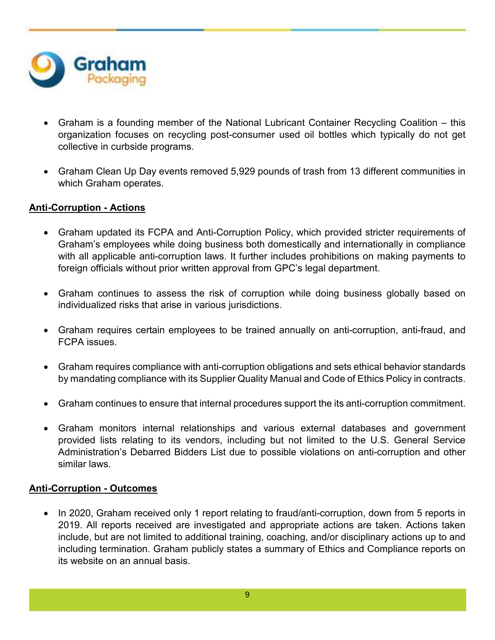

- Graham is a founding member of the National Lubricant Container Recycling Coalition this organization focuses on recycling post-consumer used oil bottles which typically do not get collective in curbside programs.
- Graham Clean Up Day events removed 5,929 pounds of trash from 13 different communities in which Graham operates.

## **Anti-Corruption - Actions**

- Graham updated its FCPA and Anti-Corruption Policy, which provided stricter requirements of Graham's employees while doing business both domestically and internationally in compliance with all applicable anti-corruption laws. It further includes prohibitions on making payments to foreign officials without prior written approval from GPC's legal department.
- Graham continues to assess the risk of corruption while doing business globally based on individualized risks that arise in various jurisdictions.
- Graham requires certain employees to be trained annually on anti-corruption, anti-fraud, and FCPA issues.
- Graham requires compliance with anti-corruption obligations and sets ethical behavior standards by mandating compliance with its Supplier Quality Manual and Code of Ethics Policy in contracts.
- Graham continues to ensure that internal procedures support the its anti-corruption commitment.
- Graham monitors internal relationships and various external databases and government provided lists relating to its vendors, including but not limited to the U.S. General Service Administration's Debarred Bidders List due to possible violations on anti-corruption and other similar laws.

#### **Anti-Corruption - Outcomes**

• In 2020, Graham received only 1 report relating to fraud/anti-corruption, down from 5 reports in 2019. All reports received are investigated and appropriate actions are taken. Actions taken include, but are not limited to additional training, coaching, and/or disciplinary actions up to and including termination. Graham publicly states a summary of Ethics and Compliance reports on its website on an annual basis.